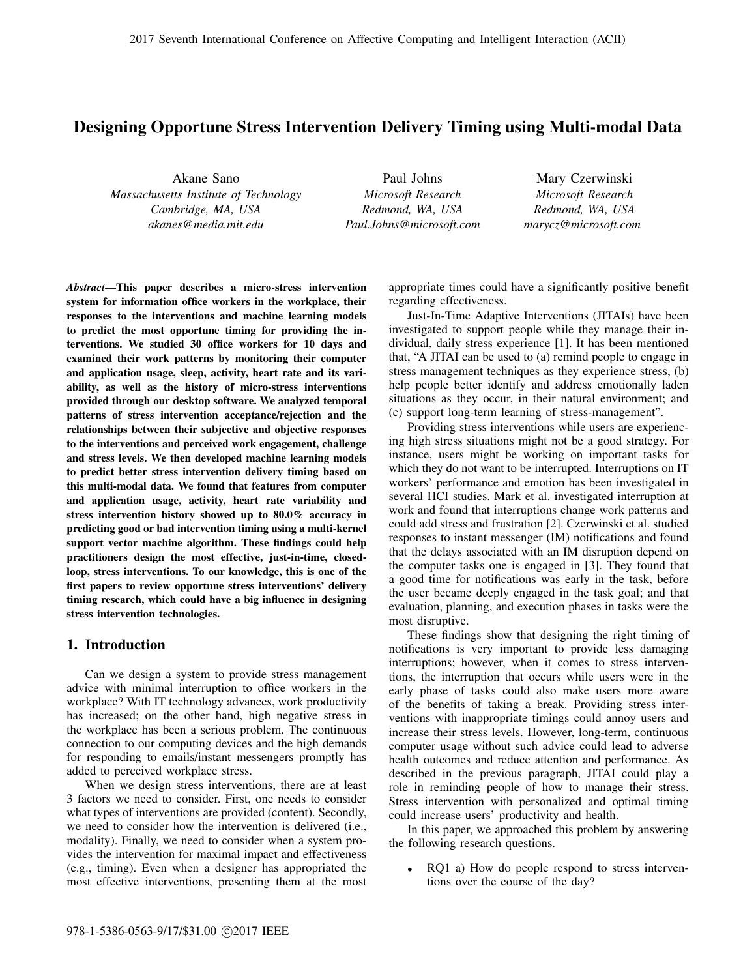# Designing Opportune Stress Intervention Delivery Timing using Multi-modal Data

Akane Sano *Massachusetts Institute of Technology Cambridge, MA, USA akanes@media.mit.edu*

Paul Johns *Microsoft Research Redmond, WA, USA Paul.Johns@microsoft.com*

Mary Czerwinski *Microsoft Research Redmond, WA, USA marycz@microsoft.com*

*Abstract*—This paper describes a micro-stress intervention system for information office workers in the workplace, their responses to the interventions and machine learning models to predict the most opportune timing for providing the interventions. We studied 30 office workers for 10 days and examined their work patterns by monitoring their computer and application usage, sleep, activity, heart rate and its variability, as well as the history of micro-stress interventions provided through our desktop software. We analyzed temporal patterns of stress intervention acceptance/rejection and the relationships between their subjective and objective responses to the interventions and perceived work engagement, challenge and stress levels. We then developed machine learning models to predict better stress intervention delivery timing based on this multi-modal data. We found that features from computer and application usage, activity, heart rate variability and stress intervention history showed up to 80.0% accuracy in predicting good or bad intervention timing using a multi-kernel support vector machine algorithm. These findings could help practitioners design the most effective, just-in-time, closedloop, stress interventions. To our knowledge, this is one of the first papers to review opportune stress interventions' delivery timing research, which could have a big influence in designing stress intervention technologies.

## 1. Introduction

Can we design a system to provide stress management advice with minimal interruption to office workers in the workplace? With IT technology advances, work productivity has increased; on the other hand, high negative stress in the workplace has been a serious problem. The continuous connection to our computing devices and the high demands for responding to emails/instant messengers promptly has added to perceived workplace stress.

When we design stress interventions, there are at least 3 factors we need to consider. First, one needs to consider what types of interventions are provided (content). Secondly, we need to consider how the intervention is delivered (i.e., modality). Finally, we need to consider when a system provides the intervention for maximal impact and effectiveness (e.g., timing). Even when a designer has appropriated the most effective interventions, presenting them at the most

appropriate times could have a significantly positive benefit regarding effectiveness.

Just-In-Time Adaptive Interventions (JITAIs) have been investigated to support people while they manage their individual, daily stress experience [1]. It has been mentioned that, "A JITAI can be used to (a) remind people to engage in stress management techniques as they experience stress, (b) help people better identify and address emotionally laden situations as they occur, in their natural environment; and (c) support long-term learning of stress-management".

Providing stress interventions while users are experiencing high stress situations might not be a good strategy. For instance, users might be working on important tasks for which they do not want to be interrupted. Interruptions on IT workers' performance and emotion has been investigated in several HCI studies. Mark et al. investigated interruption at work and found that interruptions change work patterns and could add stress and frustration [2]. Czerwinski et al. studied responses to instant messenger (IM) notifications and found that the delays associated with an IM disruption depend on the computer tasks one is engaged in [3]. They found that a good time for notifications was early in the task, before the user became deeply engaged in the task goal; and that evaluation, planning, and execution phases in tasks were the most disruptive.

These findings show that designing the right timing of notifications is very important to provide less damaging interruptions; however, when it comes to stress interventions, the interruption that occurs while users were in the early phase of tasks could also make users more aware of the benefits of taking a break. Providing stress interventions with inappropriate timings could annoy users and increase their stress levels. However, long-term, continuous computer usage without such advice could lead to adverse health outcomes and reduce attention and performance. As described in the previous paragraph, JITAI could play a role in reminding people of how to manage their stress. Stress intervention with personalized and optimal timing could increase users' productivity and health.

In this paper, we approached this problem by answering the following research questions.

• RQ1 a) How do people respond to stress interventions over the course of the day?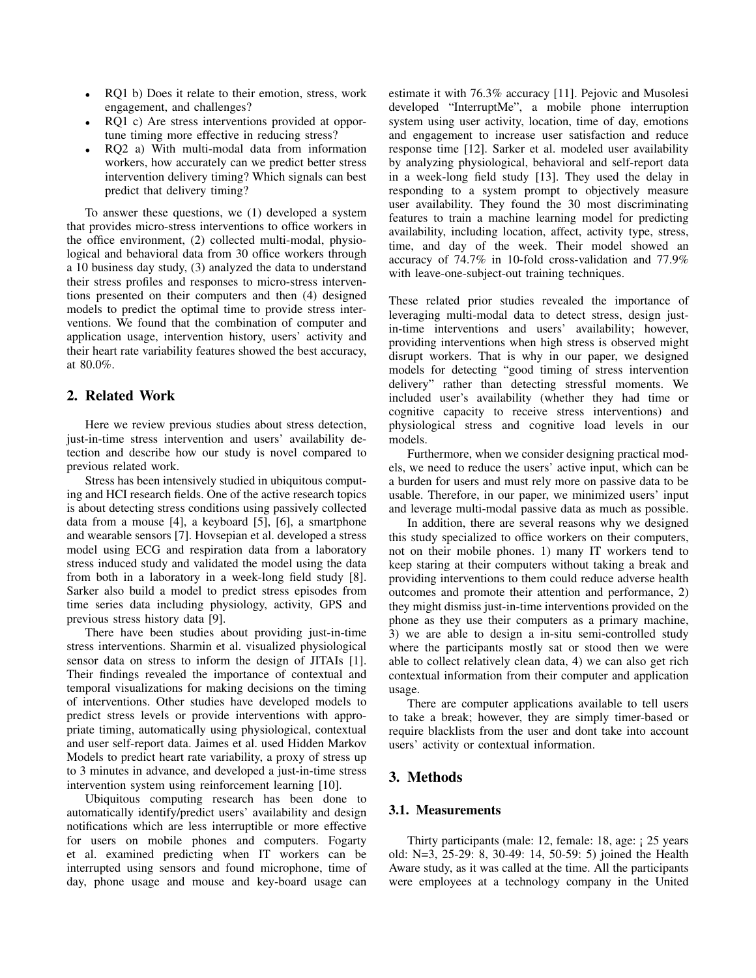- RQ1 b) Does it relate to their emotion, stress, work engagement, and challenges?
- RQ1 c) Are stress interventions provided at opportune timing more effective in reducing stress?
- RQ2 a) With multi-modal data from information workers, how accurately can we predict better stress intervention delivery timing? Which signals can best predict that delivery timing?

To answer these questions, we (1) developed a system that provides micro-stress interventions to office workers in the office environment, (2) collected multi-modal, physiological and behavioral data from 30 office workers through a 10 business day study, (3) analyzed the data to understand their stress profiles and responses to micro-stress interventions presented on their computers and then (4) designed models to predict the optimal time to provide stress interventions. We found that the combination of computer and application usage, intervention history, users' activity and their heart rate variability features showed the best accuracy, at 80.0%.

# 2. Related Work

Here we review previous studies about stress detection, just-in-time stress intervention and users' availability detection and describe how our study is novel compared to previous related work.

Stress has been intensively studied in ubiquitous computing and HCI research fields. One of the active research topics is about detecting stress conditions using passively collected data from a mouse [4], a keyboard [5], [6], a smartphone and wearable sensors [7]. Hovsepian et al. developed a stress model using ECG and respiration data from a laboratory stress induced study and validated the model using the data from both in a laboratory in a week-long field study [8]. Sarker also build a model to predict stress episodes from time series data including physiology, activity, GPS and previous stress history data [9].

There have been studies about providing just-in-time stress interventions. Sharmin et al. visualized physiological sensor data on stress to inform the design of JITAIs [1]. Their findings revealed the importance of contextual and temporal visualizations for making decisions on the timing of interventions. Other studies have developed models to predict stress levels or provide interventions with appropriate timing, automatically using physiological, contextual and user self-report data. Jaimes et al. used Hidden Markov Models to predict heart rate variability, a proxy of stress up to 3 minutes in advance, and developed a just-in-time stress intervention system using reinforcement learning [10].

Ubiquitous computing research has been done to automatically identify/predict users' availability and design notifications which are less interruptible or more effective for users on mobile phones and computers. Fogarty et al. examined predicting when IT workers can be interrupted using sensors and found microphone, time of day, phone usage and mouse and key-board usage can estimate it with 76.3% accuracy [11]. Pejovic and Musolesi developed "InterruptMe", a mobile phone interruption system using user activity, location, time of day, emotions and engagement to increase user satisfaction and reduce response time [12]. Sarker et al. modeled user availability by analyzing physiological, behavioral and self-report data in a week-long field study [13]. They used the delay in responding to a system prompt to objectively measure user availability. They found the 30 most discriminating features to train a machine learning model for predicting availability, including location, affect, activity type, stress, time, and day of the week. Their model showed an accuracy of 74.7% in 10-fold cross-validation and 77.9% with leave-one-subject-out training techniques.

These related prior studies revealed the importance of leveraging multi-modal data to detect stress, design justin-time interventions and users' availability; however, providing interventions when high stress is observed might disrupt workers. That is why in our paper, we designed models for detecting "good timing of stress intervention delivery" rather than detecting stressful moments. We included user's availability (whether they had time or cognitive capacity to receive stress interventions) and physiological stress and cognitive load levels in our models.

Furthermore, when we consider designing practical models, we need to reduce the users' active input, which can be a burden for users and must rely more on passive data to be usable. Therefore, in our paper, we minimized users' input and leverage multi-modal passive data as much as possible.

In addition, there are several reasons why we designed this study specialized to office workers on their computers, not on their mobile phones. 1) many IT workers tend to keep staring at their computers without taking a break and providing interventions to them could reduce adverse health outcomes and promote their attention and performance, 2) they might dismiss just-in-time interventions provided on the phone as they use their computers as a primary machine, 3) we are able to design a in-situ semi-controlled study where the participants mostly sat or stood then we were able to collect relatively clean data, 4) we can also get rich contextual information from their computer and application usage.

There are computer applications available to tell users to take a break; however, they are simply timer-based or require blacklists from the user and dont take into account users' activity or contextual information.

# 3. Methods

## 3.1. Measurements

Thirty participants (male: 12, female: 18, age: ¡ 25 years old: N=3, 25-29: 8, 30-49: 14, 50-59: 5) joined the Health Aware study, as it was called at the time. All the participants were employees at a technology company in the United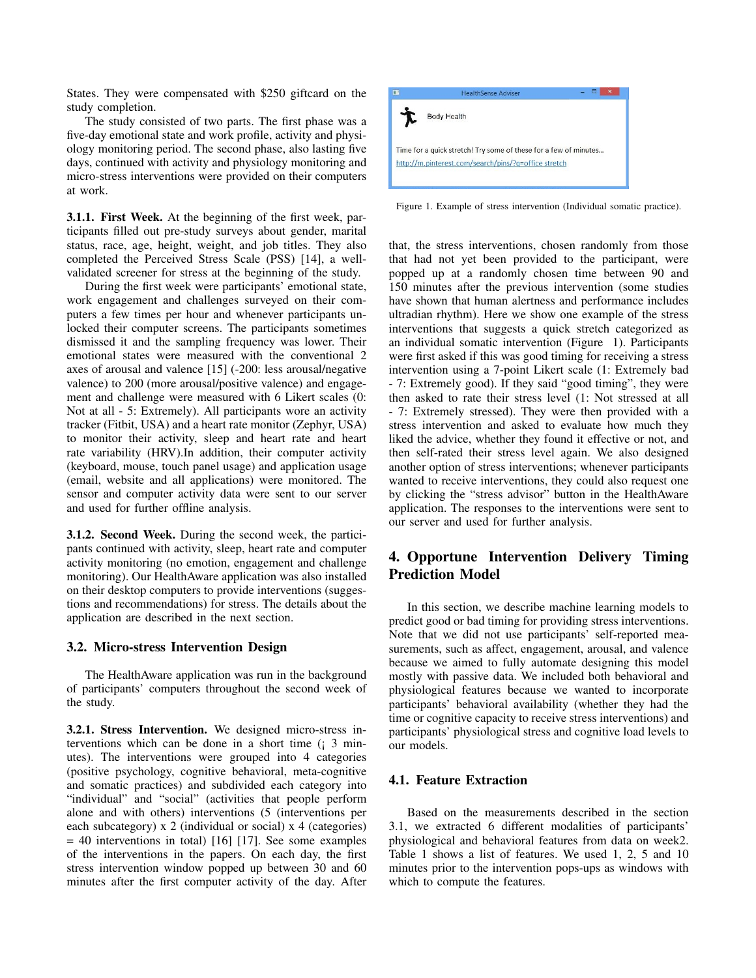States. They were compensated with \$250 giftcard on the study completion.

The study consisted of two parts. The first phase was a five-day emotional state and work profile, activity and physiology monitoring period. The second phase, also lasting five days, continued with activity and physiology monitoring and micro-stress interventions were provided on their computers at work.

3.1.1. First Week. At the beginning of the first week, participants filled out pre-study surveys about gender, marital status, race, age, height, weight, and job titles. They also completed the Perceived Stress Scale (PSS) [14], a wellvalidated screener for stress at the beginning of the study.

During the first week were participants' emotional state, work engagement and challenges surveyed on their computers a few times per hour and whenever participants unlocked their computer screens. The participants sometimes dismissed it and the sampling frequency was lower. Their emotional states were measured with the conventional 2 axes of arousal and valence [15] (-200: less arousal/negative valence) to 200 (more arousal/positive valence) and engagement and challenge were measured with 6 Likert scales (0: Not at all - 5: Extremely). All participants wore an activity tracker (Fitbit, USA) and a heart rate monitor (Zephyr, USA) to monitor their activity, sleep and heart rate and heart rate variability (HRV).In addition, their computer activity (keyboard, mouse, touch panel usage) and application usage (email, website and all applications) were monitored. The sensor and computer activity data were sent to our server and used for further offline analysis.

3.1.2. Second Week. During the second week, the participants continued with activity, sleep, heart rate and computer activity monitoring (no emotion, engagement and challenge monitoring). Our HealthAware application was also installed on their desktop computers to provide interventions (suggestions and recommendations) for stress. The details about the application are described in the next section.

#### 3.2. Micro-stress Intervention Design

The HealthAware application was run in the background of participants' computers throughout the second week of the study.

3.2.1. Stress Intervention. We designed micro-stress interventions which can be done in a short time (¡ 3 minutes). The interventions were grouped into 4 categories (positive psychology, cognitive behavioral, meta-cognitive and somatic practices) and subdivided each category into "individual" and "social" (activities that people perform alone and with others) interventions (5 (interventions per each subcategory) x 2 (individual or social) x 4 (categories)  $= 40$  interventions in total) [16] [17]. See some examples of the interventions in the papers. On each day, the first stress intervention window popped up between 30 and 60 minutes after the first computer activity of the day. After



Figure 1. Example of stress intervention (Individual somatic practice).

that, the stress interventions, chosen randomly from those that had not yet been provided to the participant, were popped up at a randomly chosen time between 90 and 150 minutes after the previous intervention (some studies have shown that human alertness and performance includes ultradian rhythm). Here we show one example of the stress interventions that suggests a quick stretch categorized as an individual somatic intervention (Figure 1). Participants were first asked if this was good timing for receiving a stress intervention using a 7-point Likert scale (1: Extremely bad - 7: Extremely good). If they said "good timing", they were then asked to rate their stress level (1: Not stressed at all - 7: Extremely stressed). They were then provided with a stress intervention and asked to evaluate how much they liked the advice, whether they found it effective or not, and then self-rated their stress level again. We also designed another option of stress interventions; whenever participants wanted to receive interventions, they could also request one by clicking the "stress advisor" button in the HealthAware application. The responses to the interventions were sent to our server and used for further analysis.

# 4. Opportune Intervention Delivery Timing Prediction Model

In this section, we describe machine learning models to predict good or bad timing for providing stress interventions. Note that we did not use participants' self-reported measurements, such as affect, engagement, arousal, and valence because we aimed to fully automate designing this model mostly with passive data. We included both behavioral and physiological features because we wanted to incorporate participants' behavioral availability (whether they had the time or cognitive capacity to receive stress interventions) and participants' physiological stress and cognitive load levels to our models.

## 4.1. Feature Extraction

Based on the measurements described in the section 3.1, we extracted 6 different modalities of participants' physiological and behavioral features from data on week2. Table 1 shows a list of features. We used 1, 2, 5 and 10 minutes prior to the intervention pops-ups as windows with which to compute the features.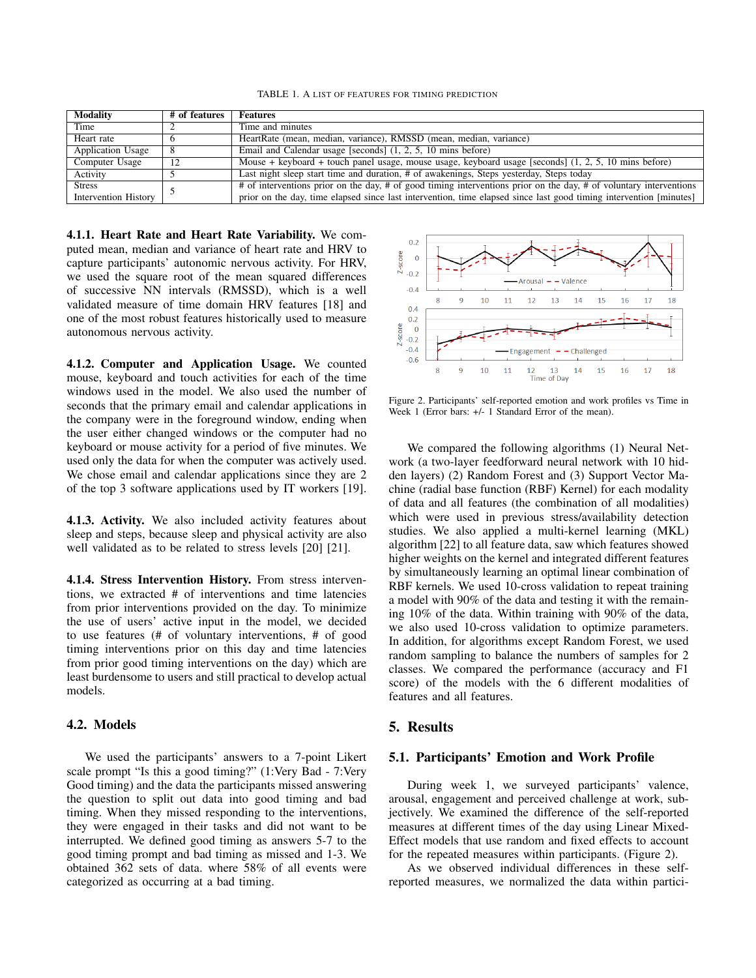TABLE 1. A LIST OF FEATURES FOR TIMING PREDICTION

| <b>Modality</b>          | # of features | <b>Features</b>                                                                                                    |
|--------------------------|---------------|--------------------------------------------------------------------------------------------------------------------|
| Time                     |               | Time and minutes                                                                                                   |
| Heart rate               |               | HeartRate (mean, median, variance), RMSSD (mean, median, variance)                                                 |
| <b>Application Usage</b> | 8             | Email and Calendar usage [seconds] (1, 2, 5, 10 mins before)                                                       |
| Computer Usage           | 12            | Mouse + keyboard + touch panel usage, mouse usage, keyboard usage [seconds] $(1, 2, 5, 10 \text{ mins before})$    |
| Activity                 |               | Last night sleep start time and duration, # of awakenings, Steps yesterday, Steps today                            |
| <b>Stress</b>            |               | # of interventions prior on the day, # of good timing interventions prior on the day, # of voluntary interventions |
| Intervention History     |               | prior on the day, time elapsed since last intervention, time elapsed since last good timing intervention [minutes] |

4.1.1. Heart Rate and Heart Rate Variability. We computed mean, median and variance of heart rate and HRV to capture participants' autonomic nervous activity. For HRV, we used the square root of the mean squared differences of successive NN intervals (RMSSD), which is a well validated measure of time domain HRV features [18] and one of the most robust features historically used to measure autonomous nervous activity.

4.1.2. Computer and Application Usage. We counted mouse, keyboard and touch activities for each of the time windows used in the model. We also used the number of seconds that the primary email and calendar applications in the company were in the foreground window, ending when the user either changed windows or the computer had no keyboard or mouse activity for a period of five minutes. We used only the data for when the computer was actively used. We chose email and calendar applications since they are 2 of the top 3 software applications used by IT workers [19].

4.1.3. Activity. We also included activity features about sleep and steps, because sleep and physical activity are also well validated as to be related to stress levels [20] [21].

4.1.4. Stress Intervention History. From stress interventions, we extracted # of interventions and time latencies from prior interventions provided on the day. To minimize the use of users' active input in the model, we decided to use features (# of voluntary interventions, # of good timing interventions prior on this day and time latencies from prior good timing interventions on the day) which are least burdensome to users and still practical to develop actual models.

## 4.2. Models

We used the participants' answers to a 7-point Likert scale prompt "Is this a good timing?" (1:Very Bad - 7:Very Good timing) and the data the participants missed answering the question to split out data into good timing and bad timing. When they missed responding to the interventions, they were engaged in their tasks and did not want to be interrupted. We defined good timing as answers 5-7 to the good timing prompt and bad timing as missed and 1-3. We obtained 362 sets of data. where 58% of all events were categorized as occurring at a bad timing.



Figure 2. Participants' self-reported emotion and work profiles vs Time in Week 1 (Error bars:  $+/- 1$  Standard Error of the mean).

We compared the following algorithms (1) Neural Network (a two-layer feedforward neural network with 10 hidden layers) (2) Random Forest and (3) Support Vector Machine (radial base function (RBF) Kernel) for each modality of data and all features (the combination of all modalities) which were used in previous stress/availability detection studies. We also applied a multi-kernel learning (MKL) algorithm [22] to all feature data, saw which features showed higher weights on the kernel and integrated different features by simultaneously learning an optimal linear combination of RBF kernels. We used 10-cross validation to repeat training a model with 90% of the data and testing it with the remaining 10% of the data. Within training with 90% of the data, we also used 10-cross validation to optimize parameters. In addition, for algorithms except Random Forest, we used random sampling to balance the numbers of samples for 2 classes. We compared the performance (accuracy and F1 score) of the models with the 6 different modalities of features and all features.

## 5. Results

#### 5.1. Participants' Emotion and Work Profile

During week 1, we surveyed participants' valence, arousal, engagement and perceived challenge at work, subjectively. We examined the difference of the self-reported measures at different times of the day using Linear Mixed-Effect models that use random and fixed effects to account for the repeated measures within participants. (Figure 2).

As we observed individual differences in these selfreported measures, we normalized the data within partici-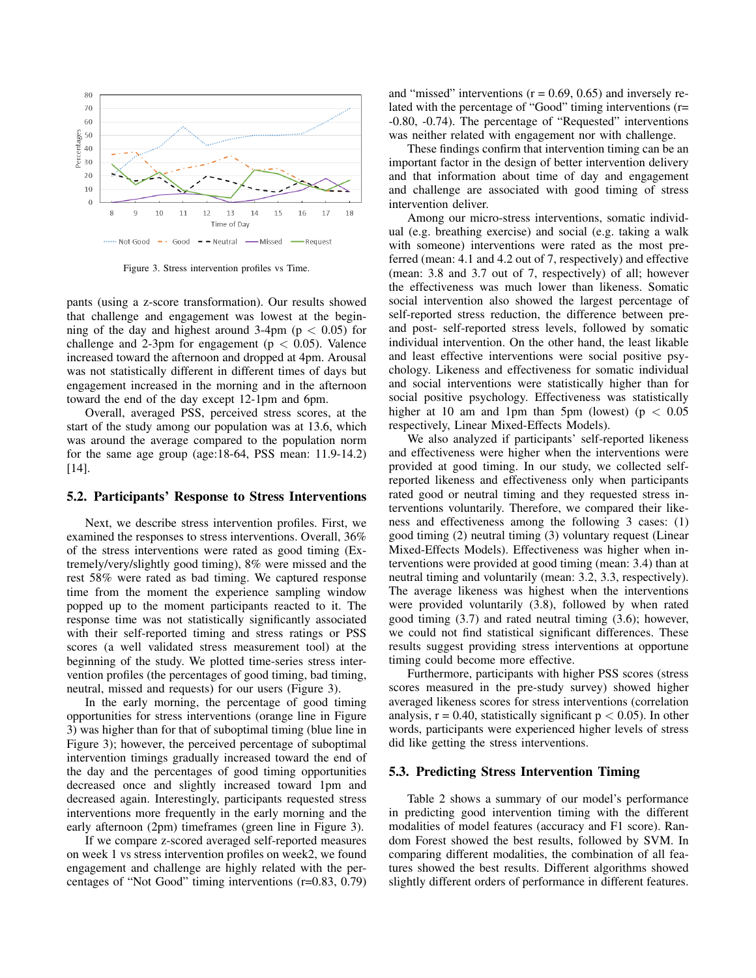

Figure 3. Stress intervention profiles vs Time.

pants (using a z-score transformation). Our results showed that challenge and engagement was lowest at the beginning of the day and highest around 3-4pm ( $p < 0.05$ ) for challenge and 2-3pm for engagement ( $p < 0.05$ ). Valence increased toward the afternoon and dropped at 4pm. Arousal was not statistically different in different times of days but engagement increased in the morning and in the afternoon toward the end of the day except 12-1pm and 6pm.

Overall, averaged PSS, perceived stress scores, at the start of the study among our population was at 13.6, which was around the average compared to the population norm for the same age group (age:18-64, PSS mean: 11.9-14.2) [14].

#### 5.2. Participants' Response to Stress Interventions

Next, we describe stress intervention profiles. First, we examined the responses to stress interventions. Overall, 36% of the stress interventions were rated as good timing (Extremely/very/slightly good timing), 8% were missed and the rest 58% were rated as bad timing. We captured response time from the moment the experience sampling window popped up to the moment participants reacted to it. The response time was not statistically significantly associated with their self-reported timing and stress ratings or PSS scores (a well validated stress measurement tool) at the beginning of the study. We plotted time-series stress intervention profiles (the percentages of good timing, bad timing, neutral, missed and requests) for our users (Figure 3).

In the early morning, the percentage of good timing opportunities for stress interventions (orange line in Figure 3) was higher than for that of suboptimal timing (blue line in Figure 3); however, the perceived percentage of suboptimal intervention timings gradually increased toward the end of the day and the percentages of good timing opportunities decreased once and slightly increased toward 1pm and decreased again. Interestingly, participants requested stress interventions more frequently in the early morning and the early afternoon (2pm) timeframes (green line in Figure 3).

If we compare z-scored averaged self-reported measures on week 1 vs stress intervention profiles on week2, we found engagement and challenge are highly related with the percentages of "Not Good" timing interventions (r=0.83, 0.79) and "missed" interventions  $(r = 0.69, 0.65)$  and inversely related with the percentage of "Good" timing interventions (r= -0.80, -0.74). The percentage of "Requested" interventions was neither related with engagement nor with challenge.

These findings confirm that intervention timing can be an important factor in the design of better intervention delivery and that information about time of day and engagement and challenge are associated with good timing of stress intervention deliver.

Among our micro-stress interventions, somatic individual (e.g. breathing exercise) and social (e.g. taking a walk with someone) interventions were rated as the most preferred (mean: 4.1 and 4.2 out of 7, respectively) and effective (mean: 3.8 and 3.7 out of 7, respectively) of all; however the effectiveness was much lower than likeness. Somatic social intervention also showed the largest percentage of self-reported stress reduction, the difference between preand post- self-reported stress levels, followed by somatic individual intervention. On the other hand, the least likable and least effective interventions were social positive psychology. Likeness and effectiveness for somatic individual and social interventions were statistically higher than for social positive psychology. Effectiveness was statistically higher at 10 am and 1pm than 5pm (lowest) ( $p < 0.05$ ) respectively, Linear Mixed-Effects Models).

We also analyzed if participants' self-reported likeness and effectiveness were higher when the interventions were provided at good timing. In our study, we collected selfreported likeness and effectiveness only when participants rated good or neutral timing and they requested stress interventions voluntarily. Therefore, we compared their likeness and effectiveness among the following 3 cases: (1) good timing (2) neutral timing (3) voluntary request (Linear Mixed-Effects Models). Effectiveness was higher when interventions were provided at good timing (mean: 3.4) than at neutral timing and voluntarily (mean: 3.2, 3.3, respectively). The average likeness was highest when the interventions were provided voluntarily (3.8), followed by when rated good timing (3.7) and rated neutral timing (3.6); however, we could not find statistical significant differences. These results suggest providing stress interventions at opportune timing could become more effective.

Furthermore, participants with higher PSS scores (stress scores measured in the pre-study survey) showed higher averaged likeness scores for stress interventions (correlation analysis,  $r = 0.40$ , statistically significant  $p < 0.05$ ). In other words, participants were experienced higher levels of stress did like getting the stress interventions.

#### 5.3. Predicting Stress Intervention Timing

Table 2 shows a summary of our model's performance in predicting good intervention timing with the different modalities of model features (accuracy and F1 score). Random Forest showed the best results, followed by SVM. In comparing different modalities, the combination of all features showed the best results. Different algorithms showed slightly different orders of performance in different features.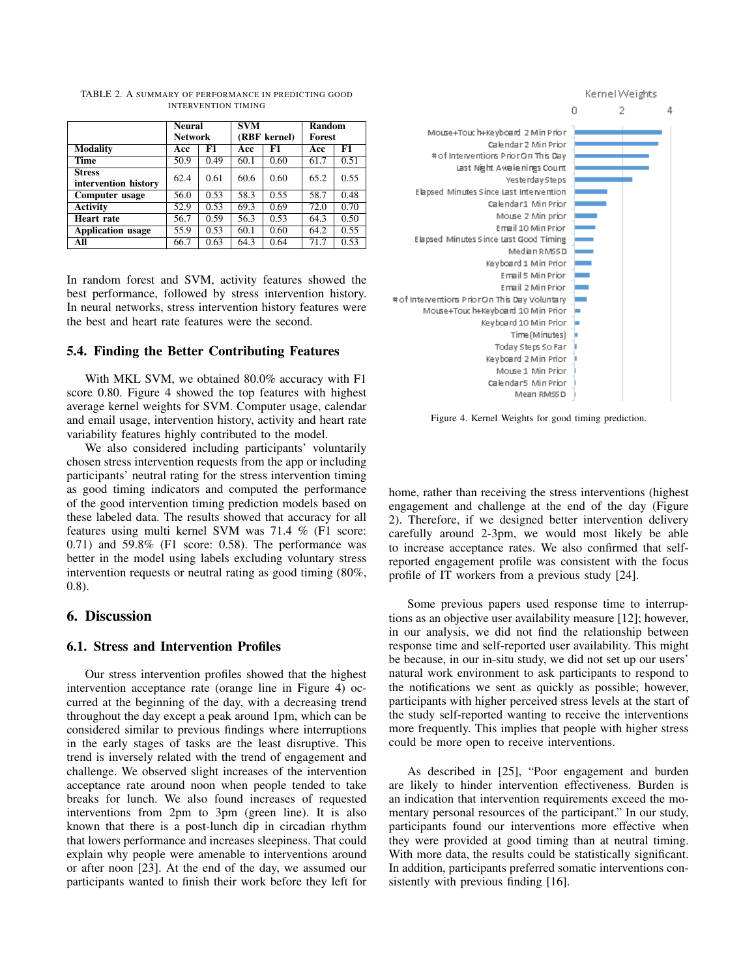|                                       | <b>Neural</b><br><b>Network</b> |      | <b>SVM</b><br>(RBF kernel) |      | <b>Random</b><br><b>Forest</b> |      |
|---------------------------------------|---------------------------------|------|----------------------------|------|--------------------------------|------|
| <b>Modality</b>                       | Acc                             | F1   | Acc                        | F1   | Acc                            | F1   |
| Time                                  | 50.9                            | 0.49 | 60.1                       | 0.60 | 61.7                           | 0.51 |
| <b>Stress</b><br>intervention history | 62.4                            | 0.61 | 60.6                       | 0.60 | 65.2                           | 0.55 |
| Computer usage                        | 56.0                            | 0.53 | 58.3                       | 0.55 | 58.7                           | 0.48 |
| <b>Activity</b>                       | 52.9                            | 0.53 | 69.3                       | 0.69 | 72.0                           | 0.70 |
| <b>Heart</b> rate                     | 56.7                            | 0.59 | 56.3                       | 0.53 | 64.3                           | 0.50 |
| <b>Application usage</b>              | 55.9                            | 0.53 | 60.1                       | 0.60 | 64.2                           | 0.55 |
| All                                   | 66.7                            | 0.63 | 64.3                       | 0.64 | 71.7                           | 0.53 |

TABLE 2. A SUMMARY OF PERFORMANCE IN PREDICTING GOOD INTERVENTION TIMING

In random forest and SVM, activity features showed the best performance, followed by stress intervention history. In neural networks, stress intervention history features were the best and heart rate features were the second.

#### 5.4. Finding the Better Contributing Features

With MKL SVM, we obtained 80.0% accuracy with F1 score 0.80. Figure 4 showed the top features with highest average kernel weights for SVM. Computer usage, calendar and email usage, intervention history, activity and heart rate variability features highly contributed to the model.

We also considered including participants' voluntarily chosen stress intervention requests from the app or including participants' neutral rating for the stress intervention timing as good timing indicators and computed the performance of the good intervention timing prediction models based on these labeled data. The results showed that accuracy for all features using multi kernel SVM was 71.4 % (F1 score:  $0.71$ ) and  $59.8\%$  (F1 score: 0.58). The performance was better in the model using labels excluding voluntary stress intervention requests or neutral rating as good timing (80%, 0.8).

## 6. Discussion

## 6.1. Stress and Intervention Profiles

Our stress intervention profiles showed that the highest intervention acceptance rate (orange line in Figure 4) occurred at the beginning of the day, with a decreasing trend throughout the day except a peak around 1pm, which can be considered similar to previous findings where interruptions in the early stages of tasks are the least disruptive. This trend is inversely related with the trend of engagement and challenge. We observed slight increases of the intervention acceptance rate around noon when people tended to take breaks for lunch. We also found increases of requested interventions from 2pm to 3pm (green line). It is also known that there is a post-lunch dip in circadian rhythm that lowers performance and increases sleepiness. That could explain why people were amenable to interventions around or after noon [23]. At the end of the day, we assumed our participants wanted to finish their work before they left for



Figure 4. Kernel Weights for good timing prediction.

home, rather than receiving the stress interventions (highest engagement and challenge at the end of the day (Figure 2). Therefore, if we designed better intervention delivery carefully around 2-3pm, we would most likely be able to increase acceptance rates. We also confirmed that selfreported engagement profile was consistent with the focus profile of IT workers from a previous study [24].

Some previous papers used response time to interruptions as an objective user availability measure [12]; however, in our analysis, we did not find the relationship between response time and self-reported user availability. This might be because, in our in-situ study, we did not set up our users' natural work environment to ask participants to respond to the notifications we sent as quickly as possible; however, participants with higher perceived stress levels at the start of the study self-reported wanting to receive the interventions more frequently. This implies that people with higher stress could be more open to receive interventions.

As described in [25], "Poor engagement and burden are likely to hinder intervention effectiveness. Burden is an indication that intervention requirements exceed the momentary personal resources of the participant." In our study, participants found our interventions more effective when they were provided at good timing than at neutral timing. With more data, the results could be statistically significant. In addition, participants preferred somatic interventions consistently with previous finding [16].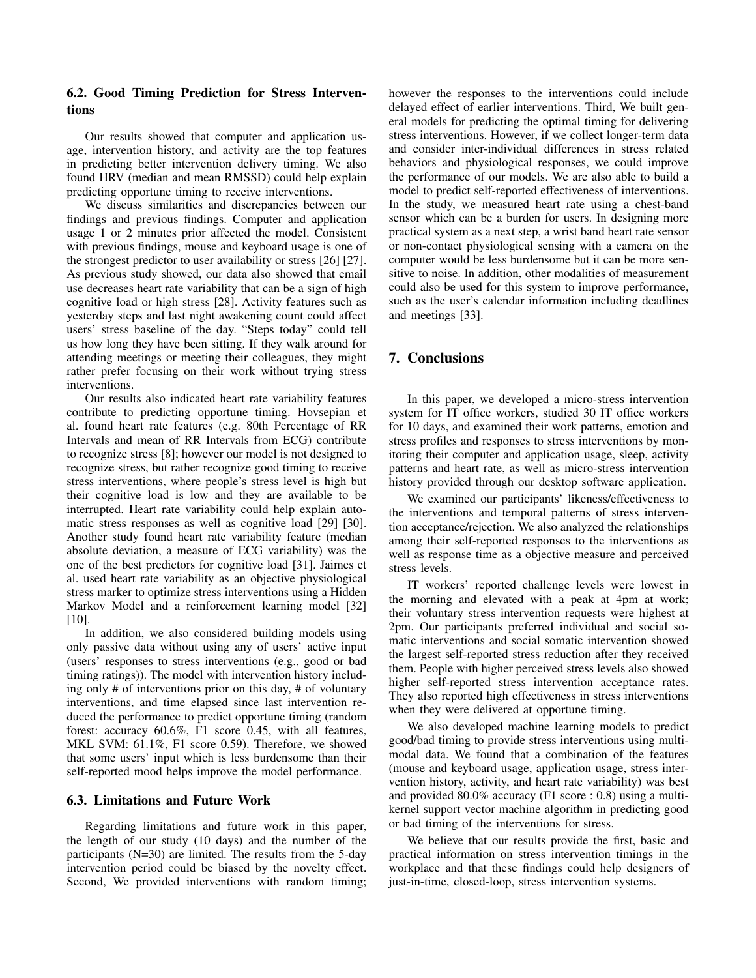## 6.2. Good Timing Prediction for Stress Interventions

Our results showed that computer and application usage, intervention history, and activity are the top features in predicting better intervention delivery timing. We also found HRV (median and mean RMSSD) could help explain predicting opportune timing to receive interventions.

We discuss similarities and discrepancies between our findings and previous findings. Computer and application usage 1 or 2 minutes prior affected the model. Consistent with previous findings, mouse and keyboard usage is one of the strongest predictor to user availability or stress [26] [27]. As previous study showed, our data also showed that email use decreases heart rate variability that can be a sign of high cognitive load or high stress [28]. Activity features such as yesterday steps and last night awakening count could affect users' stress baseline of the day. "Steps today" could tell us how long they have been sitting. If they walk around for attending meetings or meeting their colleagues, they might rather prefer focusing on their work without trying stress interventions.

Our results also indicated heart rate variability features contribute to predicting opportune timing. Hovsepian et al. found heart rate features (e.g. 80th Percentage of RR Intervals and mean of RR Intervals from ECG) contribute to recognize stress [8]; however our model is not designed to recognize stress, but rather recognize good timing to receive stress interventions, where people's stress level is high but their cognitive load is low and they are available to be interrupted. Heart rate variability could help explain automatic stress responses as well as cognitive load [29] [30]. Another study found heart rate variability feature (median absolute deviation, a measure of ECG variability) was the one of the best predictors for cognitive load [31]. Jaimes et al. used heart rate variability as an objective physiological stress marker to optimize stress interventions using a Hidden Markov Model and a reinforcement learning model [32] [10].

In addition, we also considered building models using only passive data without using any of users' active input (users' responses to stress interventions (e.g., good or bad timing ratings)). The model with intervention history including only # of interventions prior on this day, # of voluntary interventions, and time elapsed since last intervention reduced the performance to predict opportune timing (random forest: accuracy 60.6%, F1 score 0.45, with all features, MKL SVM: 61.1%, F1 score 0.59). Therefore, we showed that some users' input which is less burdensome than their self-reported mood helps improve the model performance.

## 6.3. Limitations and Future Work

Regarding limitations and future work in this paper, the length of our study (10 days) and the number of the participants (N=30) are limited. The results from the 5-day intervention period could be biased by the novelty effect. Second, We provided interventions with random timing; however the responses to the interventions could include delayed effect of earlier interventions. Third, We built general models for predicting the optimal timing for delivering stress interventions. However, if we collect longer-term data and consider inter-individual differences in stress related behaviors and physiological responses, we could improve the performance of our models. We are also able to build a model to predict self-reported effectiveness of interventions. In the study, we measured heart rate using a chest-band sensor which can be a burden for users. In designing more practical system as a next step, a wrist band heart rate sensor or non-contact physiological sensing with a camera on the computer would be less burdensome but it can be more sensitive to noise. In addition, other modalities of measurement could also be used for this system to improve performance, such as the user's calendar information including deadlines and meetings [33].

# 7. Conclusions

In this paper, we developed a micro-stress intervention system for IT office workers, studied 30 IT office workers for 10 days, and examined their work patterns, emotion and stress profiles and responses to stress interventions by monitoring their computer and application usage, sleep, activity patterns and heart rate, as well as micro-stress intervention history provided through our desktop software application.

We examined our participants' likeness/effectiveness to the interventions and temporal patterns of stress intervention acceptance/rejection. We also analyzed the relationships among their self-reported responses to the interventions as well as response time as a objective measure and perceived stress levels.

IT workers' reported challenge levels were lowest in the morning and elevated with a peak at 4pm at work; their voluntary stress intervention requests were highest at 2pm. Our participants preferred individual and social somatic interventions and social somatic intervention showed the largest self-reported stress reduction after they received them. People with higher perceived stress levels also showed higher self-reported stress intervention acceptance rates. They also reported high effectiveness in stress interventions when they were delivered at opportune timing.

We also developed machine learning models to predict good/bad timing to provide stress interventions using multimodal data. We found that a combination of the features (mouse and keyboard usage, application usage, stress intervention history, activity, and heart rate variability) was best and provided 80.0% accuracy (F1 score : 0.8) using a multikernel support vector machine algorithm in predicting good or bad timing of the interventions for stress.

We believe that our results provide the first, basic and practical information on stress intervention timings in the workplace and that these findings could help designers of just-in-time, closed-loop, stress intervention systems.